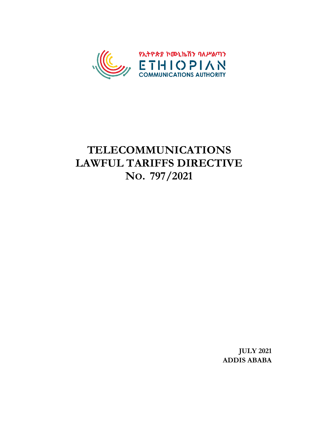

# **TELECOMMUNICATIONS LAWFUL TARIFFS DIRECTIVE NO. 797/2021**

**JULY 2021 ADDIS ABABA**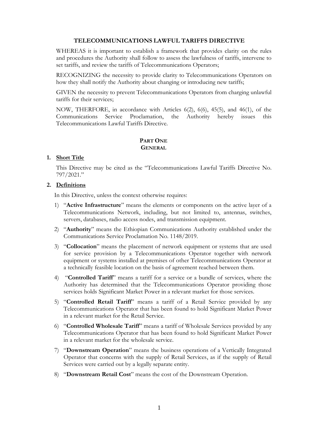#### **TELECOMMUNICATIONS LAWFUL TARIFFS DIRECTIVE**

WHEREAS it is important to establish a framework that provides clarity on the rules and procedures the Authority shall follow to assess the lawfulness of tariffs, intervene to set tariffs, and review the tariffs of Telecommunications Operators;

RECOGNIZING the necessity to provide clarity to Telecommunications Operators on how they shall notify the Authority about changing or introducing new tariffs;

GIVEN the necessity to prevent Telecommunications Operators from charging unlawful tariffs for their services;

NOW, THERFORE, in accordance with Articles 6(2), 6(6), 45(5), and 46(1), of the Communications Service Proclamation, the Authority hereby issues this Telecommunications Lawful Tariffs Directive.

# **PART ONE GENERAL**

# **1. Short Title**

This Directive may be cited as the "Telecommunications Lawful Tariffs Directive No. 797/2021."

# **2. Definitions**

In this Directive, unless the context otherwise requires:

- 1) "**Active Infrastructure**" means the elements or components on the active layer of a Telecommunications Network, including, but not limited to, antennas, switches, servers, databases, radio access nodes, and transmission equipment.
- 2) "**Authority**" means the Ethiopian Communications Authority established under the Communications Service Proclamation No. 1148/2019.
- 3) "**Collocation**" means the placement of network equipment or systems that are used for service provision by a Telecommunications Operator together with network equipment or systems installed at premises of other Telecommunications Operator at a technically feasible location on the basis of agreement reached between them.
- 4) "**Controlled Tariff**" means a tariff for a service or a bundle of services, where the Authority has determined that the Telecommunications Operator providing those services holds Significant Market Power in a relevant market for those services.
- 5) "**Controlled Retail Tariff**" means a tariff of a Retail Service provided by any Telecommunications Operator that has been found to hold Significant Market Power in a relevant market for the Retail Service.
- 6) "**Controlled Wholesale Tariff**" means a tariff of Wholesale Services provided by any Telecommunications Operator that has been found to hold Significant Market Power in a relevant market for the wholesale service.
- 7) "**Downstream Operation**" means the business operations of a Vertically Integrated Operator that concerns with the supply of Retail Services, as if the supply of Retail Services were carried out by a legally separate entity.
- 8) "**Downstream Retail Cost**" means the cost of the Downstream Operation.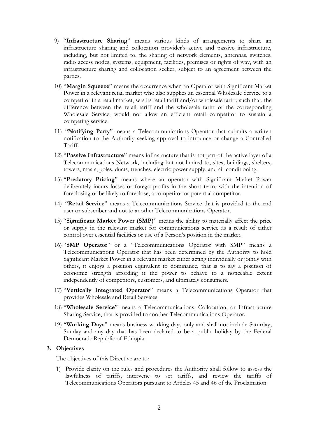- 9) "**Infrastructure Sharing**" means various kinds of arrangements to share an infrastructure sharing and collocation provider's active and passive infrastructure, including, but not limited to, the sharing of network elements, antennas, switches, radio access nodes, systems, equipment, facilities, premises or rights of way, with an infrastructure sharing and collocation seeker, subject to an agreement between the parties.
- 10) "**Margin Squeeze**" means the occurrence when an Operator with Significant Market Power in a relevant retail market who also supplies an essential Wholesale Service to a competitor in a retail market, sets its retail tariff and/or wholesale tariff, such that, the difference between the retail tariff and the wholesale tariff of the corresponding Wholesale Service, would not allow an efficient retail competitor to sustain a competing service.
- 11) "**Notifying Party**" means a Telecommunications Operator that submits a written notification to the Authority seeking approval to introduce or change a Controlled Tariff.
- 12) "**Passive Infrastructure**" means infrastructure that is not part of the active layer of a Telecommunications Network, including but not limited to, sites, buildings, shelters, towers, masts, poles, ducts, trenches, electric power supply, and air conditioning.
- 13) "**Predatory Pricing**" means where an operator with Significant Market Power deliberately incurs losses or forego profits in the short term, with the intention of foreclosing or be likely to foreclose, a competitor or potential competitor.
- 14) "**Retail Service**" means a Telecommunications Service that is provided to the end user or subscriber and not to another Telecommunications Operator.
- 15) "**Significant Market Power (SMP)**" means the ability to materially affect the price or supply in the relevant market for communications service as a result of either control over essential facilities or use of a Person's position in the market.
- 16) "**SMP Operator**" or a "Telecommunications Operator with SMP" means a Telecommunications Operator that has been determined by the Authority to hold Significant Market Power in a relevant market either acting individually or jointly with others, it enjoys a position equivalent to dominance, that is to say a position of economic strength affording it the power to behave to a noticeable extent independently of competitors, customers, and ultimately consumers.
- 17) "**Vertically Integrated Operator**" means a Telecommunications Operator that provides Wholesale and Retail Services.
- 18) "**Wholesale Service**" means a Telecommunications, Collocation, or Infrastructure Sharing Service, that is provided to another Telecommunications Operator.
- 19) "**Working Days**" means business working days only and shall not include Saturday, Sunday and any day that has been declared to be a public holiday by the Federal Democratic Republic of Ethiopia.

# **3. Objectives**

The objectives of this Directive are to:

1) Provide clarity on the rules and procedures the Authority shall follow to assess the lawfulness of tariffs, intervene to set tariffs, and review the tariffs of Telecommunications Operators pursuant to Articles 45 and 46 of the Proclamation.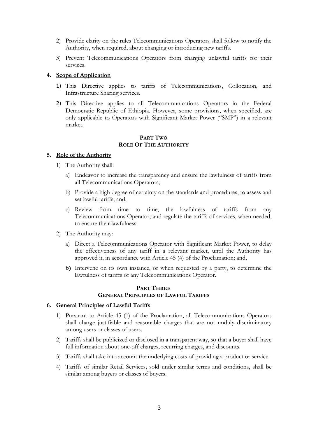- 2) Provide clarity on the rules Telecommunications Operators shall follow to notify the Authority, when required, about changing or introducing new tariffs.
- 3) Prevent Telecommunications Operators from charging unlawful tariffs for their services.

#### **4. Scope of Application**

- 1) This Directive applies to tariffs of Telecommunications, Collocation, and Infrastructure Sharing services.
- 2) This Directive applies to all Telecommunications Operators in the Federal Democratic Republic of Ethiopia. However, some provisions, when specified, are only applicable to Operators with Significant Market Power ("SMP") in a relevant market.

#### **PART TWO ROLE OF THE AUTHORITY**

# **5. Role of the Authority**

- 1) The Authority shall:
	- a) Endeavor to increase the transparency and ensure the lawfulness of tariffs from all Telecommunications Operators;
	- b) Provide a high degree of certainty on the standards and procedures, to assess and set lawful tariffs; and,
	- c) Review from time to time, the lawfulness of tariffs from any Telecommunications Operator; and regulate the tariffs of services, when needed, to ensure their lawfulness.
- 2) The Authority may:
	- a) Direct a Telecommunications Operator with Significant Market Power, to delay the effectiveness of any tariff in a relevant market, until the Authority has approved it, in accordance with Article 45 (4) of the Proclamation; and,
	- **b)** Intervene on its own instance, or when requested by a party, to determine the lawfulness of tariffs of any Telecommunications Operator.

#### **PART THREE GENERAL PRINCIPLES OF LAWFUL TARIFFS**

#### **6. General Principles of Lawful Tariffs**

- 1) Pursuant to Article 45 (1) of the Proclamation, all Telecommunications Operators shall charge justifiable and reasonable charges that are not unduly discriminatory among users or classes of users.
- 2) Tariffs shall be publicized or disclosed in a transparent way, so that a buyer shall have full information about one-off charges, recurring charges, and discounts.
- 3) Tariffs shall take into account the underlying costs of providing a product or service.
- 4) Tariffs of similar Retail Services, sold under similar terms and conditions, shall be similar among buyers or classes of buyers.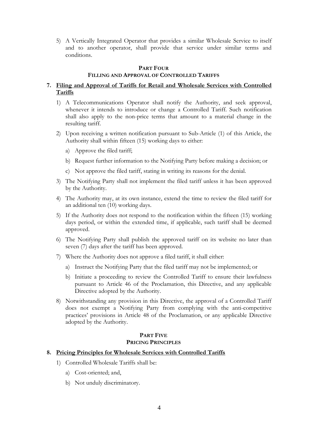5) A Vertically Integrated Operator that provides a similar Wholesale Service to itself and to another operator, shall provide that service under similar terms and conditions.

#### **PART FOUR**

# **FILLING AND APPROVAL OF CONTROLLED TARIFFS**

# **7. Filing and Approval of Tariffs for Retail and Wholesale Services with Controlled Tariffs**

- 1) A Telecommunications Operator shall notify the Authority, and seek approval, whenever it intends to introduce or change a Controlled Tariff. Such notification shall also apply to the non-price terms that amount to a material change in the resulting tariff.
- 2) Upon receiving a written notification pursuant to Sub-Article (1) of this Article, the Authority shall within fifteen (15) working days to either:
	- a) Approve the filed tariff;
	- b) Request further information to the Notifying Party before making a decision; or
	- c) Not approve the filed tariff, stating in writing its reasons for the denial.
- 3) The Notifying Party shall not implement the filed tariff unless it has been approved by the Authority.
- 4) The Authority may, at its own instance, extend the time to review the filed tariff for an additional ten (10) working days.
- 5) If the Authority does not respond to the notification within the fifteen (15) working days period, or within the extended time, if applicable, such tariff shall be deemed approved.
- 6) The Notifying Party shall publish the approved tariff on its website no later than seven (7) days after the tariff has been approved.
- 7) Where the Authority does not approve a filed tariff, it shall either:
	- a) Instruct the Notifying Party that the filed tariff may not be implemented; or
	- b) Initiate a proceeding to review the Controlled Tariff to ensure their lawfulness pursuant to Article 46 of the Proclamation, this Directive, and any applicable Directive adopted by the Authority.
- 8) Notwithstanding any provision in this Directive, the approval of a Controlled Tariff does not exempt a Notifying Party from complying with the anti-competitive practices' provisions in Article 48 of the Proclamation, or any applicable Directive adopted by the Authority.

# **PART FIVE PRICING PRINCIPLES**

#### **8. Pricing Principles for Wholesale Services with Controlled Tariffs**

- 1) Controlled Wholesale Tariffs shall be:
	- a) Cost-oriented; and,
	- b) Not unduly discriminatory.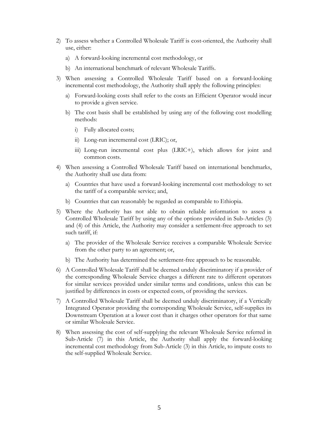- 2) To assess whether a Controlled Wholesale Tariff is cost-oriented, the Authority shall use, either:
	- a) A forward-looking incremental cost methodology, or
	- b) An international benchmark of relevant Wholesale Tariffs.
- 3) When assessing a Controlled Wholesale Tariff based on a forward-looking incremental cost methodology, the Authority shall apply the following principles:
	- a) Forward-looking costs shall refer to the costs an Efficient Operator would incur to provide a given service.
	- b) The cost basis shall be established by using any of the following cost modelling methods:
		- i) Fully allocated costs;
		- ii) Long-run incremental cost (LRIC); or,
		- iii) Long-run incremental cost plus (LRIC+), which allows for joint and common costs.
- 4) When assessing a Controlled Wholesale Tariff based on international benchmarks, the Authority shall use data from:
	- a) Countries that have used a forward-looking incremental cost methodology to set the tariff of a comparable service; and,
	- b) Countries that can reasonably be regarded as comparable to Ethiopia.
- 5) Where the Authority has not able to obtain reliable information to assess a Controlled Wholesale Tariff by using any of the options provided in Sub-Articles (3) and (4) of this Article, the Authority may consider a settlement-free approach to set such tariff, if:
	- a) The provider of the Wholesale Service receives a comparable Wholesale Service from the other party to an agreement; or,
	- b) The Authority has determined the settlement-free approach to be reasonable.
- 6) A Controlled Wholesale Tariff shall be deemed unduly discriminatory if a provider of the corresponding Wholesale Service charges a different rate to different operators for similar services provided under similar terms and conditions, unless this can be justified by differences in costs or expected costs, of providing the services.
- 7) A Controlled Wholesale Tariff shall be deemed unduly discriminatory, if a Vertically Integrated Operator providing the corresponding Wholesale Service, self-supplies its Downstream Operation at a lower cost than it charges other operators for that same or similar Wholesale Service.
- 8) When assessing the cost of self-supplying the relevant Wholesale Service referred in Sub-Article (7) in this Article, the Authority shall apply the forward-looking incremental cost methodology from Sub-Article (3) in this Article, to impute costs to the self-supplied Wholesale Service.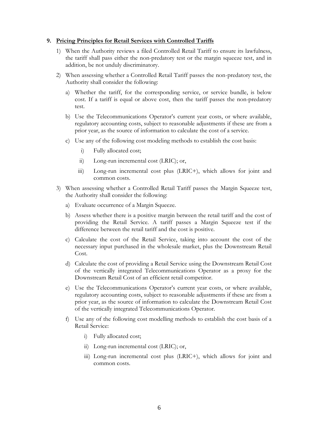# **9. Pricing Principles for Retail Services with Controlled Tariffs**

- 1) When the Authority reviews a filed Controlled Retail Tariff to ensure its lawfulness, the tariff shall pass either the non-predatory test or the margin squeeze test, and in addition, be not unduly discriminatory.
- 2) When assessing whether a Controlled Retail Tariff passes the non-predatory test, the Authority shall consider the following:
	- a) Whether the tariff, for the corresponding service, or service bundle, is below cost. If a tariff is equal or above cost, then the tariff passes the non-predatory test.
	- b) Use the Telecommunications Operator's current year costs, or where available, regulatory accounting costs, subject to reasonable adjustments if these are from a prior year, as the source of information to calculate the cost of a service.
	- c) Use any of the following cost modeling methods to establish the cost basis:
		- i) Fully allocated cost;
		- ii) Long-run incremental cost (LRIC); or,
		- iii) Long-run incremental cost plus (LRIC+), which allows for joint and common costs.
- 3) When assessing whether a Controlled Retail Tariff passes the Margin Squeeze test, the Authority shall consider the following:
	- a) Evaluate occurrence of a Margin Squeeze.
	- b) Assess whether there is a positive margin between the retail tariff and the cost of providing the Retail Service. A tariff passes a Margin Squeeze test if the difference between the retail tariff and the cost is positive.
	- c) Calculate the cost of the Retail Service, taking into account the cost of the necessary input purchased in the wholesale market, plus the Downstream Retail Cost.
	- d) Calculate the cost of providing a Retail Service using the Downstream Retail Cost of the vertically integrated Telecommunications Operator as a proxy for the Downstream Retail Cost of an efficient retail competitor.
	- e) Use the Telecommunications Operator's current year costs, or where available, regulatory accounting costs, subject to reasonable adjustments if these are from a prior year, as the source of information to calculate the Downstream Retail Cost of the vertically integrated Telecommunications Operator.
	- f) Use any of the following cost modelling methods to establish the cost basis of a Retail Service:
		- i) Fully allocated cost;
		- ii) Long-run incremental cost (LRIC); or,
		- iii) Long-run incremental cost plus (LRIC+), which allows for joint and common costs.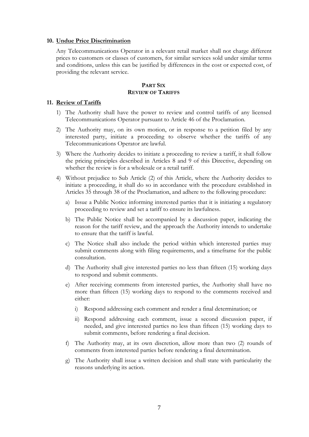#### **10. Undue Price Discrimination**

Any Telecommunications Operator in a relevant retail market shall not charge different prices to customers or classes of customers, for similar services sold under similar terms and conditions, unless this can be justified by differences in the cost or expected cost, of providing the relevant service.

#### **PART SIX REVIEW OF TARIFFS**

#### **11. Review of Tariffs**

- 1) The Authority shall have the power to review and control tariffs of any licensed Telecommunications Operator pursuant to Article 46 of the Proclamation.
- 2) The Authority may, on its own motion, or in response to a petition filed by any interested party, initiate a proceeding to observe whether the tariffs of any Telecommunications Operator are lawful.
- 3) Where the Authority decides to initiate a proceeding to review a tariff, it shall follow the pricing principles described in Articles 8 and 9 of this Directive, depending on whether the review is for a wholesale or a retail tariff.
- 4) Without prejudice to Sub Article (2) of this Article, where the Authority decides to initiate a proceeding, it shall do so in accordance with the procedure established in Articles 35 through 38 of the Proclamation, and adhere to the following procedure:
	- a) Issue a Public Notice informing interested parties that it is initiating a regulatory proceeding to review and set a tariff to ensure its lawfulness.
	- b) The Public Notice shall be accompanied by a discussion paper, indicating the reason for the tariff review, and the approach the Authority intends to undertake to ensure that the tariff is lawful.
	- c) The Notice shall also include the period within which interested parties may submit comments along with filing requirements, and a timeframe for the public consultation.
	- d) The Authority shall give interested parties no less than fifteen (15) working days to respond and submit comments.
	- e) After receiving comments from interested parties, the Authority shall have no more than fifteen (15) working days to respond to the comments received and either:
		- i) Respond addressing each comment and render a final determination; or
		- ii) Respond addressing each comment, issue a second discussion paper, if needed, and give interested parties no less than fifteen (15) working days to submit comments, before rendering a final decision.
	- f) The Authority may, at its own discretion, allow more than two (2) rounds of comments from interested parties before rendering a final determination.
	- g) The Authority shall issue a written decision and shall state with particularity the reasons underlying its action.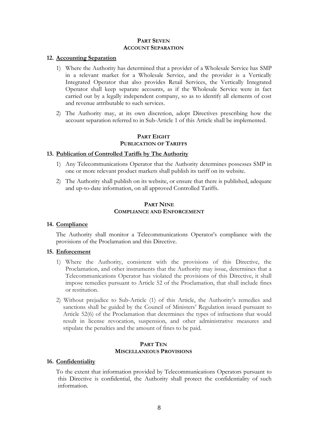#### **PART SEVEN ACCOUNT SEPARATION**

#### **12. Accounting Separation**

- 1) Where the Authority has determined that a provider of a Wholesale Service has SMP in a relevant market for a Wholesale Service, and the provider is a Vertically Integrated Operator that also provides Retail Services, the Vertically Integrated Operator shall keep separate accounts, as if the Wholesale Service were in fact carried out by a legally independent company, so as to identify all elements of cost and revenue attributable to such services.
- 2) The Authority may, at its own discretion, adopt Directives prescribing how the account separation referred to in Sub-Article 1 of this Article shall be implemented.

# **PART EIGHT PUBLICATION OF TARIFFS**

# **13. Publication of Controlled Tariffs by The Authority**

- 1) Any Telecommunications Operator that the Authority determines possesses SMP in one or more relevant product markets shall publish its tariff on its website.
- 2) The Authority shall publish on its website, or ensure that there is published, adequate and up-to-date information, on all approved Controlled Tariffs.

# **PART NINE COMPLIANCE AND ENFORCEMENT**

#### **14. Compliance**

The Authority shall monitor a Telecommunications Operator's compliance with the provisions of the Proclamation and this Directive.

#### **15. Enforcement**

- 1) Where the Authority, consistent with the provisions of this Directive, the Proclamation, and other instruments that the Authority may issue, determines that a Telecommunications Operator has violated the provisions of this Directive, it shall impose remedies pursuant to Article 52 of the Proclamation, that shall include fines or restitution.
- 2) Without prejudice to Sub-Article (1) of this Article, the Authority's remedies and sanctions shall be guided by the Council of Ministers' Regulation issued pursuant to Article 52(6) of the Proclamation that determines the types of infractions that would result in license revocation, suspension, and other administrative measures and stipulate the penalties and the amount of fines to be paid.

#### **PART TEN MISCELLANEOUS PROVISIONS**

#### **16. Confidentiality**

To the extent that information provided by Telecommunications Operators pursuant to this Directive is confidential, the Authority shall protect the confidentiality of such information.